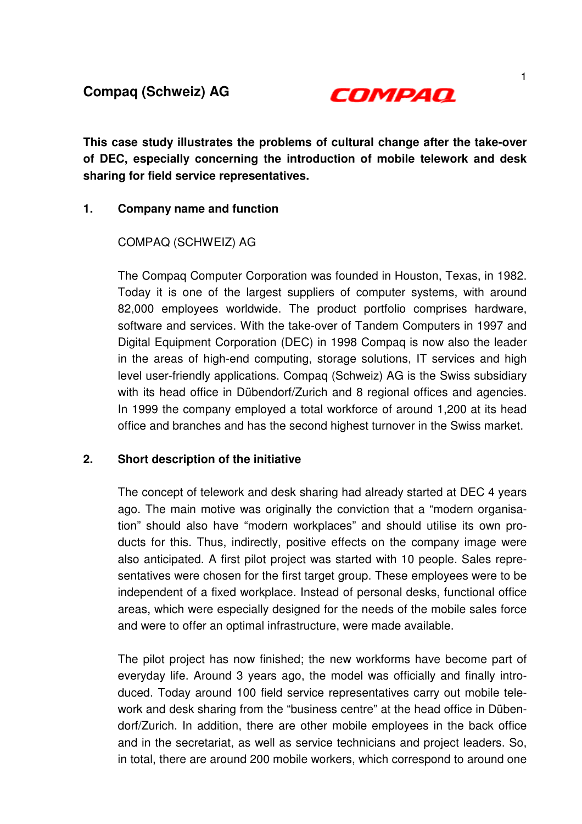

**This case study illustrates the problems of cultural change after the take-over of DEC, especially concerning the introduction of mobile telework and desk sharing for field service representatives.** 

## **1. Company name and function**

## COMPAQ (SCHWEIZ) AG

The Compaq Computer Corporation was founded in Houston, Texas, in 1982. Today it is one of the largest suppliers of computer systems, with around 82,000 employees worldwide. The product portfolio comprises hardware, software and services. With the take-over of Tandem Computers in 1997 and Digital Equipment Corporation (DEC) in 1998 Compaq is now also the leader in the areas of high-end computing, storage solutions, IT services and high level user-friendly applications. Compaq (Schweiz) AG is the Swiss subsidiary with its head office in Dübendorf/Zurich and 8 regional offices and agencies. In 1999 the company employed a total workforce of around 1,200 at its head office and branches and has the second highest turnover in the Swiss market.

## **2. Short description of the initiative**

 The concept of telework and desk sharing had already started at DEC 4 years ago. The main motive was originally the conviction that a "modern organisation" should also have "modern workplaces" and should utilise its own products for this. Thus, indirectly, positive effects on the company image were also anticipated. A first pilot project was started with 10 people. Sales representatives were chosen for the first target group. These employees were to be independent of a fixed workplace. Instead of personal desks, functional office areas, which were especially designed for the needs of the mobile sales force and were to offer an optimal infrastructure, were made available.

The pilot project has now finished; the new workforms have become part of everyday life. Around 3 years ago, the model was officially and finally introduced. Today around 100 field service representatives carry out mobile telework and desk sharing from the "business centre" at the head office in Dübendorf/Zurich. In addition, there are other mobile employees in the back office and in the secretariat, as well as service technicians and project leaders. So, in total, there are around 200 mobile workers, which correspond to around one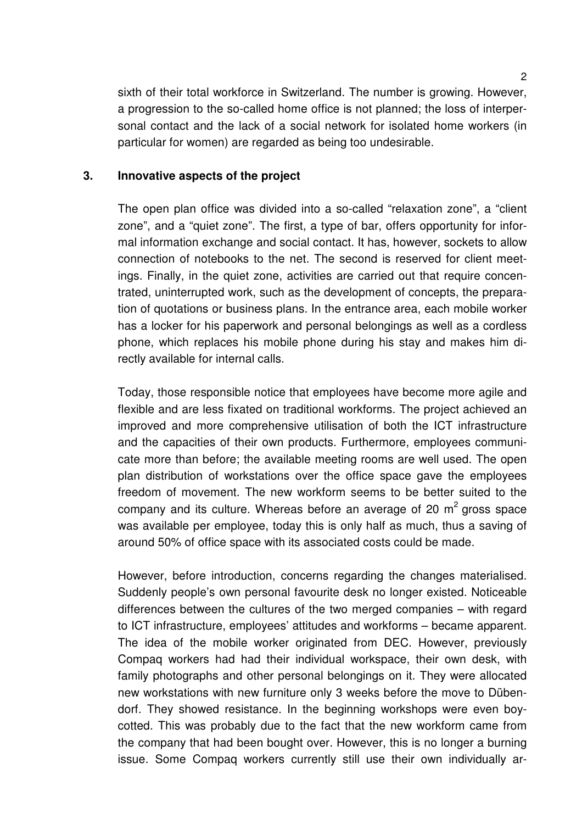sixth of their total workforce in Switzerland. The number is growing. However, a progression to the so-called home office is not planned; the loss of interpersonal contact and the lack of a social network for isolated home workers (in particular for women) are regarded as being too undesirable.

## **3. Innovative aspects of the project**

The open plan office was divided into a so-called "relaxation zone", a "client zone", and a "quiet zone". The first, a type of bar, offers opportunity for informal information exchange and social contact. It has, however, sockets to allow connection of notebooks to the net. The second is reserved for client meetings. Finally, in the quiet zone, activities are carried out that require concentrated, uninterrupted work, such as the development of concepts, the preparation of quotations or business plans. In the entrance area, each mobile worker has a locker for his paperwork and personal belongings as well as a cordless phone, which replaces his mobile phone during his stay and makes him directly available for internal calls.

 Today, those responsible notice that employees have become more agile and flexible and are less fixated on traditional workforms. The project achieved an improved and more comprehensive utilisation of both the ICT infrastructure and the capacities of their own products. Furthermore, employees communicate more than before; the available meeting rooms are well used. The open plan distribution of workstations over the office space gave the employees freedom of movement. The new workform seems to be better suited to the company and its culture. Whereas before an average of 20  $m<sup>2</sup>$  gross space was available per employee, today this is only half as much, thus a saving of around 50% of office space with its associated costs could be made.

However, before introduction, concerns regarding the changes materialised. Suddenly people's own personal favourite desk no longer existed. Noticeable differences between the cultures of the two merged companies – with regard to ICT infrastructure, employees' attitudes and workforms – became apparent. The idea of the mobile worker originated from DEC. However, previously Compaq workers had had their individual workspace, their own desk, with family photographs and other personal belongings on it. They were allocated new workstations with new furniture only 3 weeks before the move to Dübendorf. They showed resistance. In the beginning workshops were even boycotted. This was probably due to the fact that the new workform came from the company that had been bought over. However, this is no longer a burning issue. Some Compaq workers currently still use their own individually ar